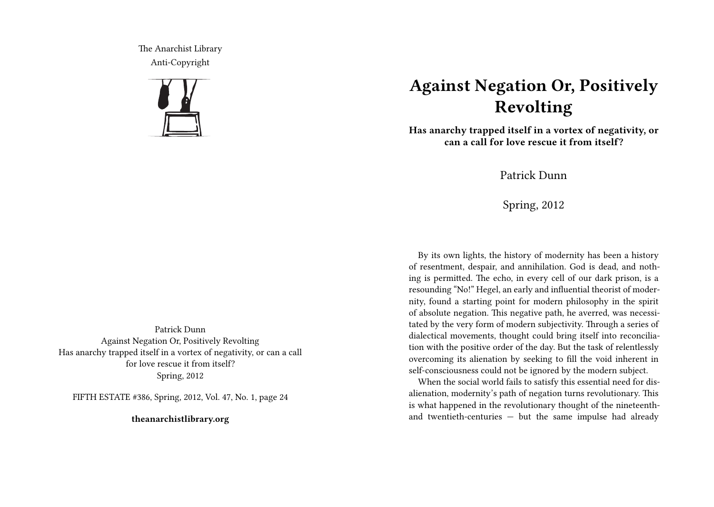The Anarchist Library Anti-Copyright



## **Against Negation Or, Positively Revolting**

**Has anarchy trapped itself in a vortex of negativity, or can a call for love rescue it from itself?**

Patrick Dunn

Spring, 2012

By its own lights, the history of modernity has been a history of resentment, despair, and annihilation. God is dead, and nothing is permitted. The echo, in every cell of our dark prison, is a resounding "No!" Hegel, an early and influential theorist of modernity, found a starting point for modern philosophy in the spirit of absolute negation. This negative path, he averred, was necessitated by the very form of modern subjectivity. Through a series of dialectical movements, thought could bring itself into reconciliation with the positive order of the day. But the task of relentlessly overcoming its alienation by seeking to fill the void inherent in self-consciousness could not be ignored by the modern subject.

When the social world fails to satisfy this essential need for disalienation, modernity's path of negation turns revolutionary. This is what happened in the revolutionary thought of the nineteenthand twentieth-centuries — but the same impulse had already

Patrick Dunn Against Negation Or, Positively Revolting Has anarchy trapped itself in a vortex of negativity, or can a call for love rescue it from itself? Spring, 2012

FIFTH ESTATE #386, Spring, 2012, Vol. 47, No. 1, page 24

**theanarchistlibrary.org**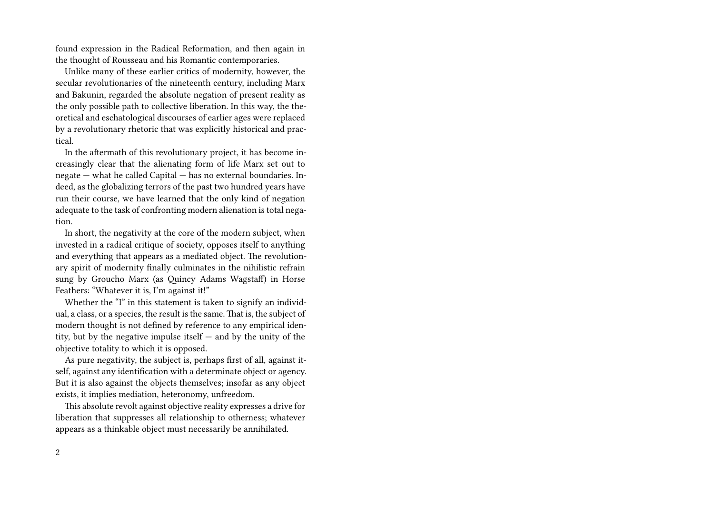found expression in the Radical Reformation, and then again in the thought of Rousseau and his Romantic contemporaries.

Unlike many of these earlier critics of modernity, however, the secular revolutionaries of the nineteenth century, including Marx and Bakunin, regarded the absolute negation of present reality as the only possible path to collective liberation. In this way, the theoretical and eschatological discourses of earlier ages were replaced by a revolutionary rhetoric that was explicitly historical and practical.

In the aftermath of this revolutionary project, it has become increasingly clear that the alienating form of life Marx set out to negate — what he called Capital — has no external boundaries. Indeed, as the globalizing terrors of the past two hundred years have run their course, we have learned that the only kind of negation adequate to the task of confronting modern alienation is total negation.

In short, the negativity at the core of the modern subject, when invested in a radical critique of society, opposes itself to anything and everything that appears as a mediated object. The revolutionary spirit of modernity finally culminates in the nihilistic refrain sung by Groucho Marx (as Quincy Adams Wagstaff) in Horse Feathers: "Whatever it is, I'm against it!"

Whether the "I" in this statement is taken to signify an individual, a class, or a species, the result is the same. That is, the subject of modern thought is not defined by reference to any empirical identity, but by the negative impulse itself — and by the unity of the objective totality to which it is opposed.

As pure negativity, the subject is, perhaps first of all, against itself, against any identification with a determinate object or agency. But it is also against the objects themselves; insofar as any object exists, it implies mediation, heteronomy, unfreedom.

This absolute revolt against objective reality expresses a drive for liberation that suppresses all relationship to otherness; whatever appears as a thinkable object must necessarily be annihilated.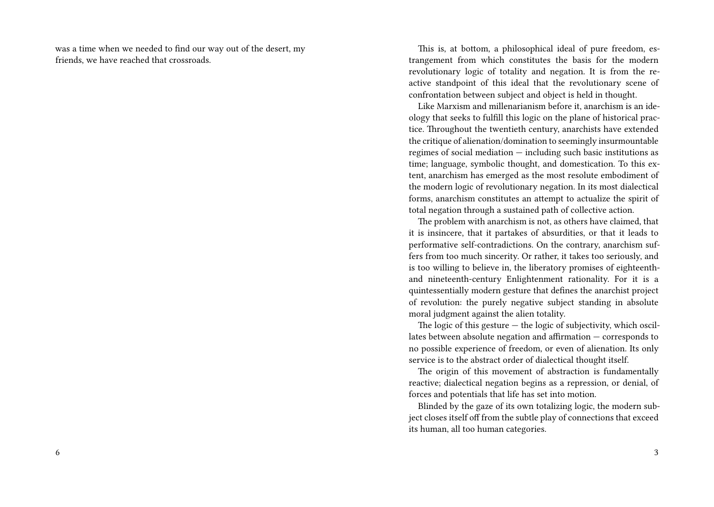was a time when we needed to find our way out of the desert, my friends, we have reached that crossroads.

This is, at bottom, a philosophical ideal of pure freedom, estrangement from which constitutes the basis for the modern revolutionary logic of totality and negation. It is from the reactive standpoint of this ideal that the revolutionary scene of confrontation between subject and object is held in thought.

Like Marxism and millenarianism before it, anarchism is an ideology that seeks to fulfill this logic on the plane of historical practice. Throughout the twentieth century, anarchists have extended the critique of alienation/domination to seemingly insurmountable regimes of social mediation — including such basic institutions as time; language, symbolic thought, and domestication. To this extent, anarchism has emerged as the most resolute embodiment of the modern logic of revolutionary negation. In its most dialectical forms, anarchism constitutes an attempt to actualize the spirit of total negation through a sustained path of collective action.

The problem with anarchism is not, as others have claimed, that it is insincere, that it partakes of absurdities, or that it leads to performative self-contradictions. On the contrary, anarchism suffers from too much sincerity. Or rather, it takes too seriously, and is too willing to believe in, the liberatory promises of eighteenthand nineteenth-century Enlightenment rationality. For it is a quintessentially modern gesture that defines the anarchist project of revolution: the purely negative subject standing in absolute moral judgment against the alien totality.

The logic of this gesture  $-$  the logic of subjectivity, which oscillates between absolute negation and affirmation — corresponds to no possible experience of freedom, or even of alienation. Its only service is to the abstract order of dialectical thought itself.

The origin of this movement of abstraction is fundamentally reactive; dialectical negation begins as a repression, or denial, of forces and potentials that life has set into motion.

Blinded by the gaze of its own totalizing logic, the modern subject closes itself off from the subtle play of connections that exceed its human, all too human categories.